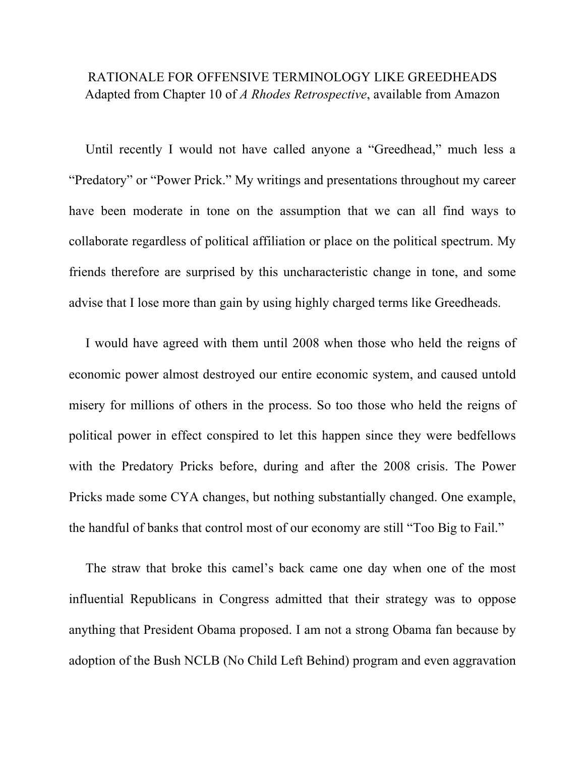## RATIONALE FOR OFFENSIVE TERMINOLOGY LIKE GREEDHEADS Adapted from Chapter 10 of *A Rhodes Retrospective*, available from Amazon

 Until recently I would not have called anyone a "Greedhead," much less a "Predatory" or "Power Prick." My writings and presentations throughout my career have been moderate in tone on the assumption that we can all find ways to collaborate regardless of political affiliation or place on the political spectrum. My friends therefore are surprised by this uncharacteristic change in tone, and some advise that I lose more than gain by using highly charged terms like Greedheads.

 I would have agreed with them until 2008 when those who held the reigns of economic power almost destroyed our entire economic system, and caused untold misery for millions of others in the process. So too those who held the reigns of political power in effect conspired to let this happen since they were bedfellows with the Predatory Pricks before, during and after the 2008 crisis. The Power Pricks made some CYA changes, but nothing substantially changed. One example, the handful of banks that control most of our economy are still "Too Big to Fail."

 The straw that broke this camel's back came one day when one of the most influential Republicans in Congress admitted that their strategy was to oppose anything that President Obama proposed. I am not a strong Obama fan because by adoption of the Bush NCLB (No Child Left Behind) program and even aggravation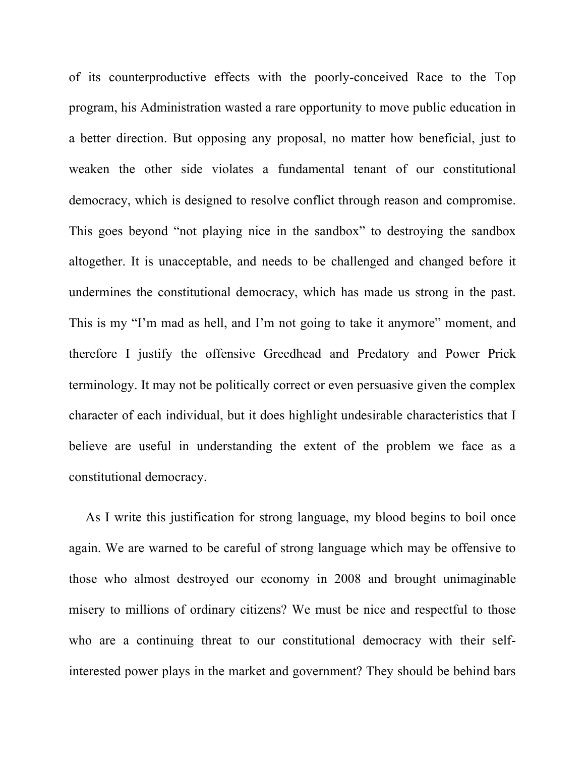of its counterproductive effects with the poorly-conceived Race to the Top program, his Administration wasted a rare opportunity to move public education in a better direction. But opposing any proposal, no matter how beneficial, just to weaken the other side violates a fundamental tenant of our constitutional democracy, which is designed to resolve conflict through reason and compromise. This goes beyond "not playing nice in the sandbox" to destroying the sandbox altogether. It is unacceptable, and needs to be challenged and changed before it undermines the constitutional democracy, which has made us strong in the past. This is my "I'm mad as hell, and I'm not going to take it anymore" moment, and therefore I justify the offensive Greedhead and Predatory and Power Prick terminology. It may not be politically correct or even persuasive given the complex character of each individual, but it does highlight undesirable characteristics that I believe are useful in understanding the extent of the problem we face as a constitutional democracy.

 As I write this justification for strong language, my blood begins to boil once again. We are warned to be careful of strong language which may be offensive to those who almost destroyed our economy in 2008 and brought unimaginable misery to millions of ordinary citizens? We must be nice and respectful to those who are a continuing threat to our constitutional democracy with their selfinterested power plays in the market and government? They should be behind bars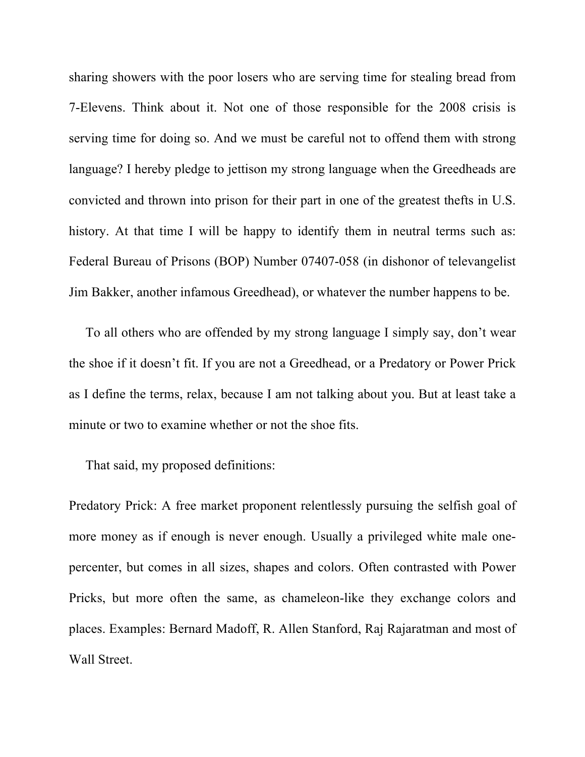sharing showers with the poor losers who are serving time for stealing bread from 7-Elevens. Think about it. Not one of those responsible for the 2008 crisis is serving time for doing so. And we must be careful not to offend them with strong language? I hereby pledge to jettison my strong language when the Greedheads are convicted and thrown into prison for their part in one of the greatest thefts in U.S. history. At that time I will be happy to identify them in neutral terms such as: Federal Bureau of Prisons (BOP) Number 07407-058 (in dishonor of televangelist Jim Bakker, another infamous Greedhead), or whatever the number happens to be.

 To all others who are offended by my strong language I simply say, don't wear the shoe if it doesn't fit. If you are not a Greedhead, or a Predatory or Power Prick as I define the terms, relax, because I am not talking about you. But at least take a minute or two to examine whether or not the shoe fits.

That said, my proposed definitions:

Predatory Prick: A free market proponent relentlessly pursuing the selfish goal of more money as if enough is never enough. Usually a privileged white male onepercenter, but comes in all sizes, shapes and colors. Often contrasted with Power Pricks, but more often the same, as chameleon-like they exchange colors and places. Examples: Bernard Madoff, R. Allen Stanford, Raj Rajaratman and most of Wall Street.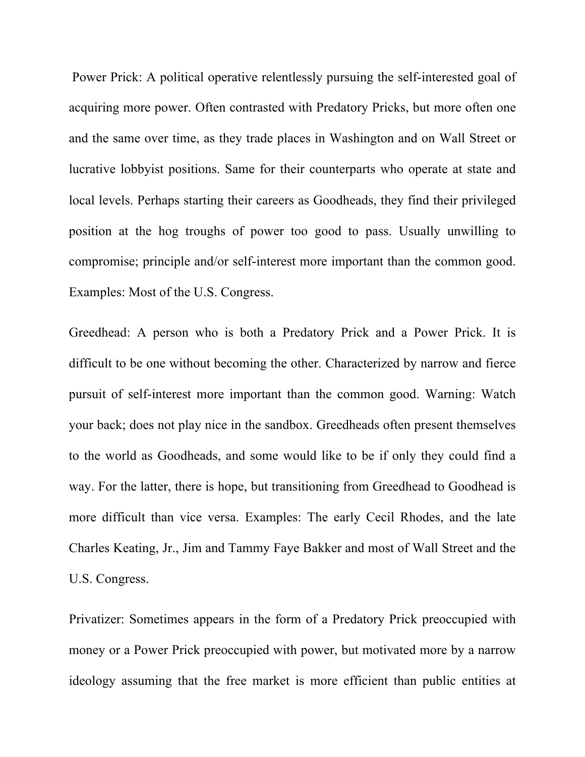Power Prick: A political operative relentlessly pursuing the self-interested goal of acquiring more power. Often contrasted with Predatory Pricks, but more often one and the same over time, as they trade places in Washington and on Wall Street or lucrative lobbyist positions. Same for their counterparts who operate at state and local levels. Perhaps starting their careers as Goodheads, they find their privileged position at the hog troughs of power too good to pass. Usually unwilling to compromise; principle and/or self-interest more important than the common good. Examples: Most of the U.S. Congress.

Greedhead: A person who is both a Predatory Prick and a Power Prick. It is difficult to be one without becoming the other. Characterized by narrow and fierce pursuit of self-interest more important than the common good. Warning: Watch your back; does not play nice in the sandbox. Greedheads often present themselves to the world as Goodheads, and some would like to be if only they could find a way. For the latter, there is hope, but transitioning from Greedhead to Goodhead is more difficult than vice versa. Examples: The early Cecil Rhodes, and the late Charles Keating, Jr., Jim and Tammy Faye Bakker and most of Wall Street and the U.S. Congress.

Privatizer: Sometimes appears in the form of a Predatory Prick preoccupied with money or a Power Prick preoccupied with power, but motivated more by a narrow ideology assuming that the free market is more efficient than public entities at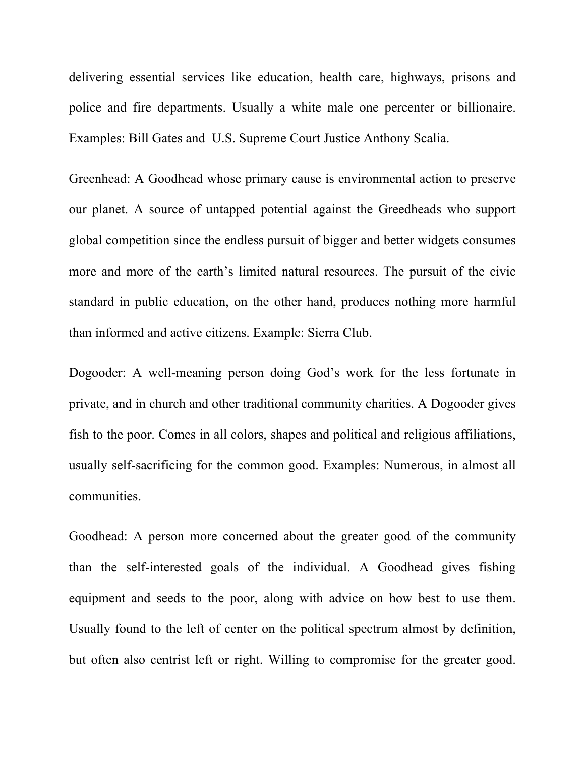delivering essential services like education, health care, highways, prisons and police and fire departments. Usually a white male one percenter or billionaire. Examples: Bill Gates and U.S. Supreme Court Justice Anthony Scalia.

Greenhead: A Goodhead whose primary cause is environmental action to preserve our planet. A source of untapped potential against the Greedheads who support global competition since the endless pursuit of bigger and better widgets consumes more and more of the earth's limited natural resources. The pursuit of the civic standard in public education, on the other hand, produces nothing more harmful than informed and active citizens. Example: Sierra Club.

Dogooder: A well-meaning person doing God's work for the less fortunate in private, and in church and other traditional community charities. A Dogooder gives fish to the poor. Comes in all colors, shapes and political and religious affiliations, usually self-sacrificing for the common good. Examples: Numerous, in almost all communities.

Goodhead: A person more concerned about the greater good of the community than the self-interested goals of the individual. A Goodhead gives fishing equipment and seeds to the poor, along with advice on how best to use them. Usually found to the left of center on the political spectrum almost by definition, but often also centrist left or right. Willing to compromise for the greater good.